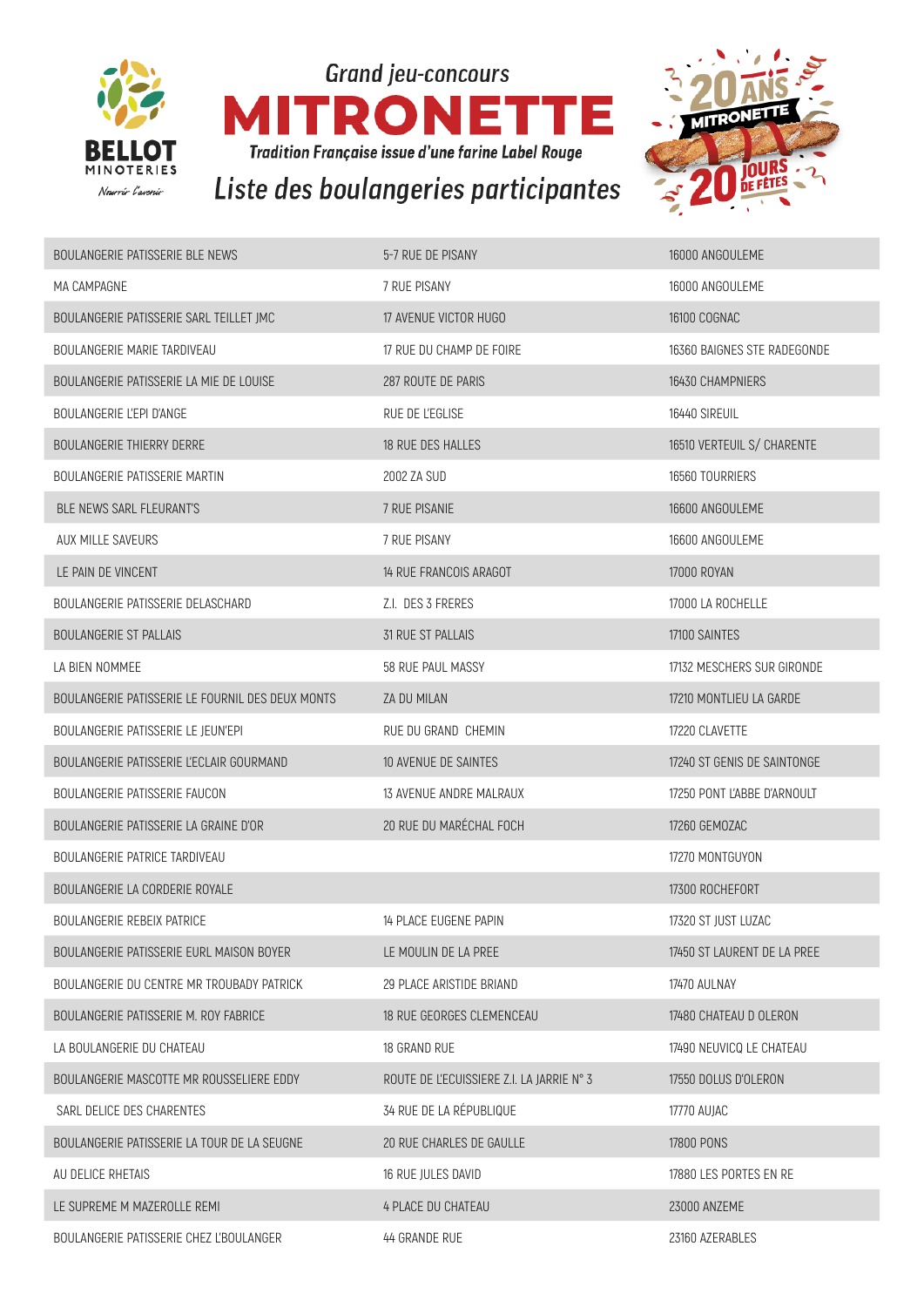

**Grand jeu-concours ITRON** E Е MI **Tradition Française issue d'une farine Label Rouge** Liste des boulangeries participantes



| BOULANGERIE PATISSERIE BLE NEWS                  | 5-7 RUE DE PISANY                         | 16000 ANGOULEME             |
|--------------------------------------------------|-------------------------------------------|-----------------------------|
| MA CAMPAGNE                                      | 7 RUE PISANY                              | 16000 ANGOULEME             |
| BOULANGERIE PATISSERIE SARL TEILLET JMC          | 17 AVENUE VICTOR HUGO                     | <b>16100 COGNAC</b>         |
| BOULANGERIE MARIE TARDIVEAU                      | 17 RUE DU CHAMP DE FOIRE                  | 16360 BAIGNES STE RADEGONDE |
| BOULANGERIE PATISSERIE LA MIE DE LOUISE          | 287 ROUTE DE PARIS                        | 16430 CHAMPNIERS            |
| BOULANGERIE L'EPI D'ANGE                         | RUE DE L'EGLISE                           | 16440 SIREUIL               |
| <b>BOULANGERIE THIERRY DERRE</b>                 | 18 RUE DES HALLES                         | 16510 VERTEUIL S/ CHARENTE  |
| BOULANGERIE PATISSERIE MARTIN                    | 2002 ZA SUD                               | 16560 TOURRIERS             |
| <b>BLE NEWS SARL FLEURANT'S</b>                  | 7 RUE PISANIE                             | 16600 ANGOULEME             |
| AUX MILLE SAVEURS                                | 7 RUE PISANY                              | 16600 ANGOULEME             |
| LE PAIN DE VINCENT                               | 14 RUE FRANCOIS ARAGOT                    | <b>17000 ROYAN</b>          |
| BOULANGERIE PATISSERIE DELASCHARD                | Z.I. DES 3 FRERES                         | 17000 LA ROCHELLE           |
| <b>BOULANGERIE ST PALLAIS</b>                    | <b>31 RUE ST PALLAIS</b>                  | 17100 SAINTES               |
| LA BIEN NOMMEE                                   | 58 RUE PAUL MASSY                         | 17132 MESCHERS SUR GIRONDE  |
| BOULANGERIE PATISSERIE LE FOURNIL DES DEUX MONTS | ZA DU MILAN                               | 17210 MONTLIEU LA GARDE     |
| BOULANGERIE PATISSERIE LE JEUN'EPI               | RUE DU GRAND CHEMIN                       | 17220 CLAVETTE              |
| BOULANGERIE PATISSERIE L'ECLAIR GOURMAND         | 10 AVENUE DE SAINTES                      | 17240 ST GENIS DE SAINTONGE |
| BOULANGERIE PATISSERIE FAUCON                    | 13 AVENUE ANDRE MALRAUX                   | 17250 PONT L'ABBE D'ARNOULT |
| BOULANGERIE PATISSERIE LA GRAINE D'OR            | 20 RUE DU MARÉCHAL FOCH                   | 17260 GEMOZAC               |
| <b>BOULANGERIE PATRICE TARDIVEAU</b>             |                                           | 17270 MONTGUYON             |
| BOULANGERIE LA CORDERIE ROYALE                   |                                           | 17300 ROCHEFORT             |
| BOULANGERIE REBEIX PATRICE                       | 14 PLACE EUGENE PAPIN                     | 17320 ST JUST LUZAC         |
| BOULANGERIE PATISSERIE EURL MAISON BOYER         | LE MOULIN DE LA PREE                      | 17450 ST LAURENT DE LA PREE |
| BOULANGERIE DU CENTRE MR TROUBADY PATRICK        | 29 PLACE ARISTIDE BRIAND                  | 17470 AULNAY                |
| BOULANGERIE PATISSERIE M. ROY FABRICE            | 18 RUE GEORGES CLEMENCEAU                 | 17480 CHATEAU D OLERON      |
| LA BOULANGERIE DU CHATEAU                        | 18 GRAND RUE                              | 17490 NEUVICQ LE CHATEAU    |
| BOULANGERIE MASCOTTE MR ROUSSELIERE EDDY         | ROUTE DE L'ECUISSIERE Z.I. LA JARRIE N° 3 | 17550 DOLUS D'OLERON        |
| SARL DELICE DES CHARENTES                        | 34 RUE DE LA RÉPUBLIQUE                   | 17770 AUJAC                 |
| BOULANGERIE PATISSERIE LA TOUR DE LA SEUGNE      | 20 RUE CHARLES DE GAULLE                  | <b>17800 PONS</b>           |
| AU DELICE RHETAIS                                | 16 RUE JULES DAVID                        | 17880 LES PORTES EN RE      |
| LE SUPREME M MAZEROLLE REMI                      | <b>4 PLACE DU CHATEAU</b>                 | 23000 ANZEME                |
| BOULANGERIE PATISSERIE CHEZ L'BOULANGER          | 44 GRANDE RUE                             | 23160 AZERABLES             |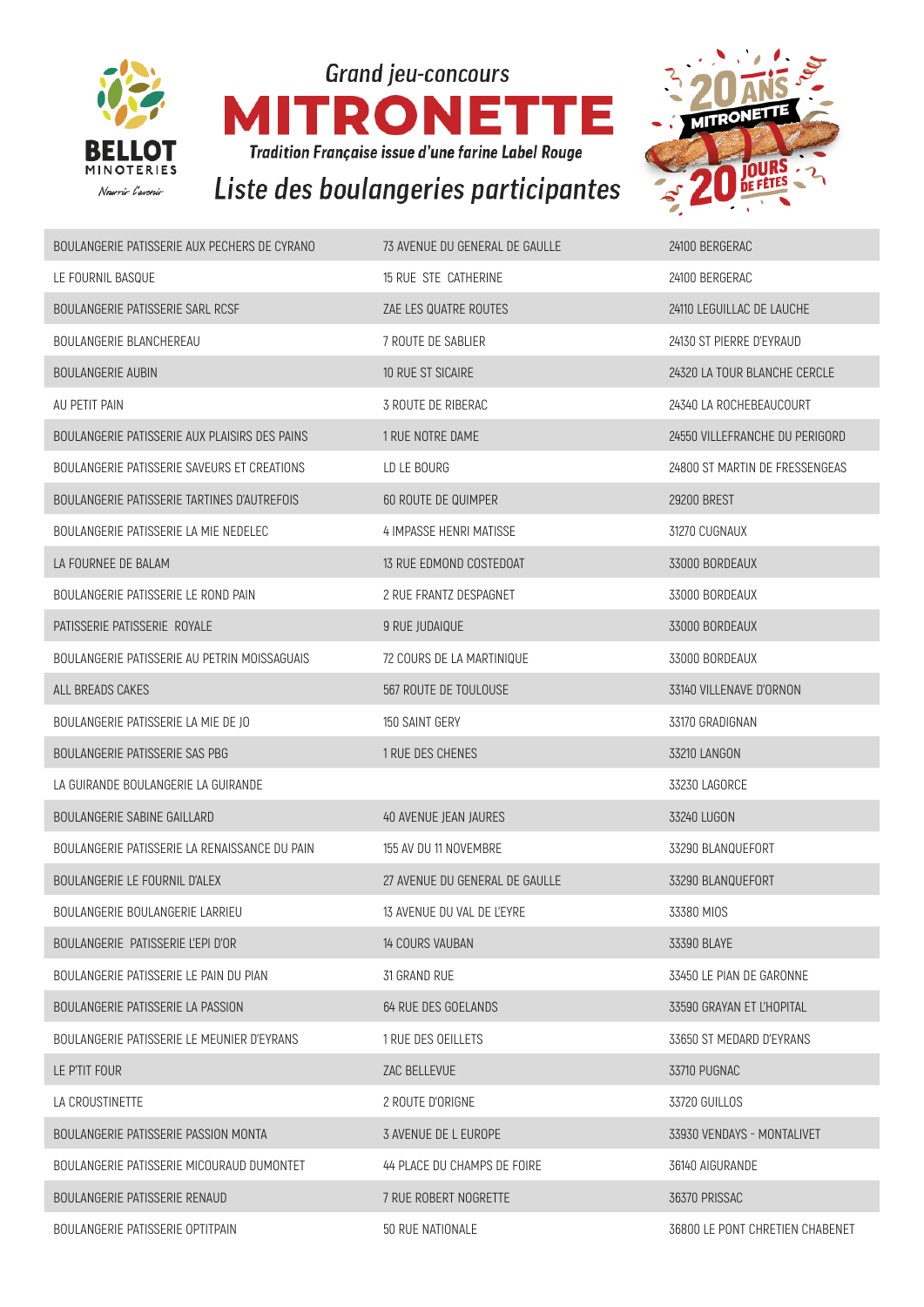

**Grand jeu-concours** R Ε Е n N **Tradition Française issue d'une farine Label Rouge** Liste des boulangeries participantes



| BOULANGERIE PATISSERIE AUX PECHERS DE CYRANO  | 73 AVENUE DU GENERAL DE GAULLE | 24100 BERGERAC                  |
|-----------------------------------------------|--------------------------------|---------------------------------|
| LE FOURNIL BASQUE                             | 15 RUE STE CATHERINE           | 24100 BERGERAC                  |
| BOULANGERIE PATISSERIE SARL RCSF              | ZAE LES QUATRE ROUTES          | 24110 LEGUILLAC DE LAUCHE       |
| <b>BOULANGERIE BLANCHEREAU</b>                | 7 ROUTE DE SABLIER             | 24130 ST PIERRE D'EYRAUD        |
| <b>BOULANGERIE AUBIN</b>                      | 10 RUE ST SICAIRE              | 24320 LA TOUR BLANCHE CERCLE    |
| AU PETIT PAIN                                 | 3 ROUTE DE RIBERAC             | 24340 LA ROCHEBEAUCOURT         |
| BOULANGERIE PATISSERIE AUX PLAISIRS DES PAINS | 1 RUE NOTRE DAME               | 24550 VILLEFRANCHE DU PERIGORD  |
| BOULANGERIE PATISSERIE SAVEURS ET CREATIONS   | LD LE BOURG                    | 24800 ST MARTIN DE FRESSENGEAS  |
| BOULANGERIE PATISSERIE TARTINES D'AUTREFOIS   | 60 ROUTE DE QUIMPER            | <b>29200 BREST</b>              |
| BOULANGERIE PATISSERIE LA MIE NEDELEC         | 4 IMPASSE HENRI MATISSE        | 31270 CUGNAUX                   |
| LA FOURNEE DE BALAM                           | 13 RUE EDMOND COSTEDOAT        | 33000 BORDEAUX                  |
| BOULANGERIE PATISSERIE LE ROND PAIN           | 2 RUE FRANTZ DESPAGNET         | 33000 BORDEAUX                  |
| PATISSERIE PATISSERIE ROYALE                  | 9 RUE JUDAIQUE                 | 33000 BORDEAUX                  |
| BOULANGERIE PATISSERIE AU PETRIN MOISSAGUAIS  | 72 COURS DE LA MARTINIQUE      | 33000 BORDEAUX                  |
| ALL BREADS CAKES                              | 567 ROUTE DE TOULOUSE          | 33140 VILLENAVE D'ORNON         |
| BOULANGERIE PATISSERIE LA MIE DE JO           | 150 SAINT GERY                 | 33170 GRADIGNAN                 |
| BOULANGERIE PATISSERIE SAS PBG                | 1 RUE DES CHENES               | 33210 LANGON                    |
| LA GUIRANDE BOULANGERIE LA GUIRANDE           |                                | 33230 LAGORCE                   |
| <b>BOULANGERIE SABINE GAILLARD</b>            | 40 AVENUE JEAN JAURES          | 33240 LUGON                     |
| BOULANGERIE PATISSERIE LA RENAISSANCE DU PAIN | 155 AV DU 11 NOVEMBRE          | 33290 BLANQUEFORT               |
| BOULANGERIE LE FOURNIL D'ALEX                 | 27 AVENUE DU GENERAL DE GAULLE | 33290 BLANQUEFORT               |
| BOULANGERIE BOULANGERIE LARRIEU               | 13 AVENUE DU VAL DE L'EYRE     | 33380 MIOS                      |
| BOULANGERIE PATISSERIE L'EPI D'OR             | <b>14 COURS VAUBAN</b>         | 33390 BLAYE                     |
| BOULANGERIE PATISSERIE LE PAIN DU PIAN        | 31 GRAND RUE                   | 33450 LE PIAN DE GARONNE        |
| BOULANGERIE PATISSERIE LA PASSION             | 64 RUE DES GOELANDS            | 33590 GRAYAN ET L'HOPITAL       |
| BOULANGERIE PATISSERIE LE MEUNIER D'EYRANS    | 1 RUE DES OEILLETS             | 33650 ST MEDARD D'EYRANS        |
| LE P'TIT FOUR                                 | ZAC BELLEVUE                   | 33710 PUGNAC                    |
| LA CROUSTINETTE                               | 2 ROUTE D'ORIGNE               | 33720 GUILLOS                   |
| BOULANGERIE PATISSERIE PASSION MONTA          | 3 AVENUE DE L EUROPE           | 33930 VENDAYS - MONTALIVET      |
| BOULANGERIE PATISSERIE MICOURAUD DUMONTET     | 44 PLACE DU CHAMPS DE FOIRE    | 36140 AIGURANDE                 |
| BOULANGERIE PATISSERIE RENAUD                 | 7 RUE ROBERT NOGRETTE          | 36370 PRISSAC                   |
| BOULANGERIE PATISSERIE OPTITPAIN              | 50 RUE NATIONALE               | 36800 LE PONT CHRETIEN CHABENET |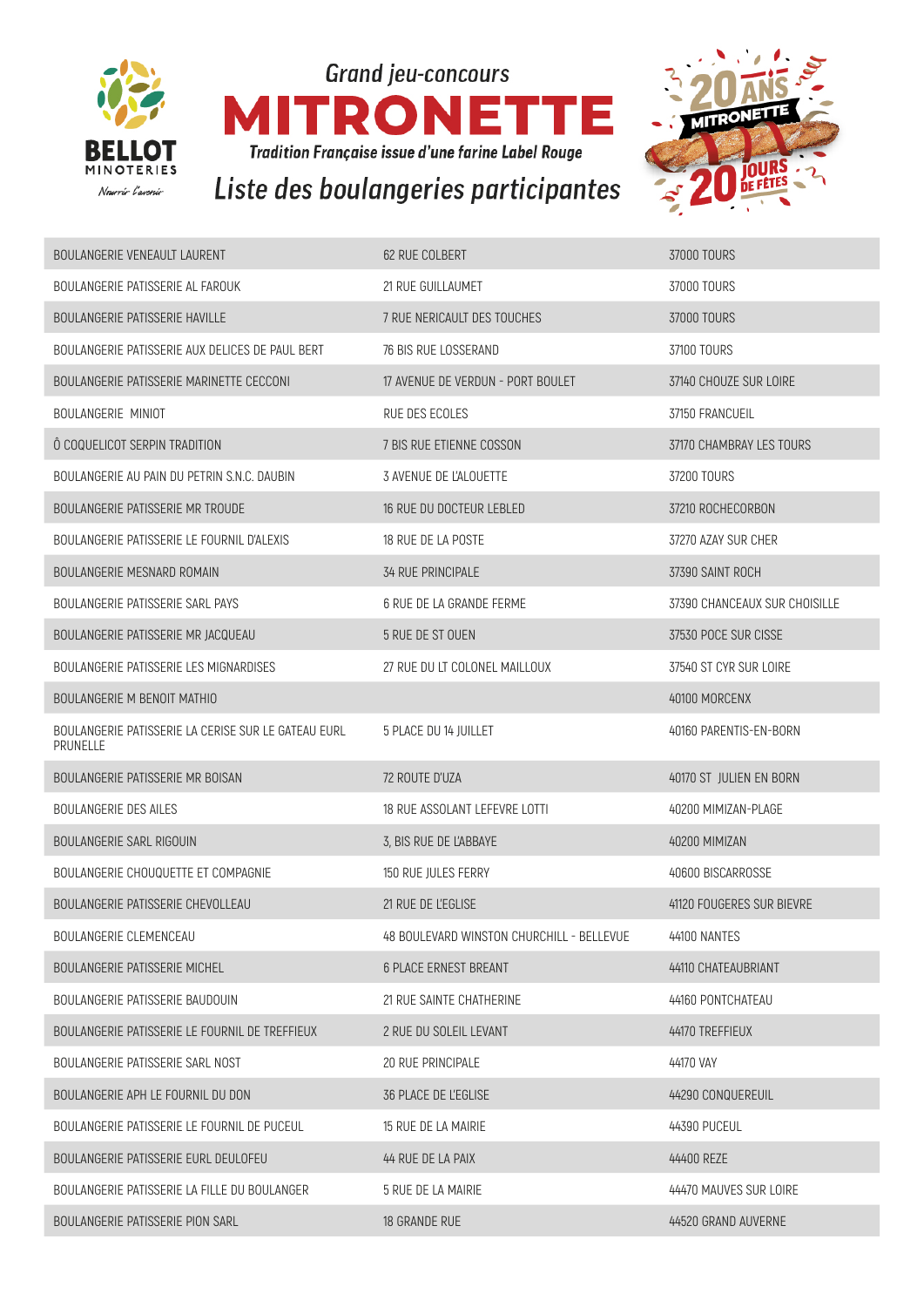





| <b>BOULANGERIE VENEAULT LAURENT</b>                             | 62 RUE COLBERT                            | 37000 TOURS                   |
|-----------------------------------------------------------------|-------------------------------------------|-------------------------------|
| BOULANGERIE PATISSERIE AL FAROUK                                | 21 RUE GUILLAUMET                         | 37000 TOURS                   |
| BOULANGERIE PATISSERIE HAVILLE                                  | 7 RUE NERICAULT DES TOUCHES               | 37000 TOURS                   |
| BOULANGERIE PATISSERIE AUX DELICES DE PAUL BERT                 | 76 BIS RUE LOSSERAND                      | 37100 TOURS                   |
| BOULANGERIE PATISSERIE MARINETTE CECCONI                        | 17 AVENUE DE VERDUN - PORT BOULET         | 37140 CHOUZE SUR LOIRE        |
| BOULANGERIE MINIOT                                              | RUE DES ECOLES                            | 37150 FRANCUEIL               |
| Ô COQUELICOT SERPIN TRADITION                                   | 7 BIS RUE ETIENNE COSSON                  | 37170 CHAMBRAY LES TOURS      |
| BOULANGERIE AU PAIN DU PETRIN S.N.C. DAUBIN                     | 3 AVENUE DE L'ALOUETTE                    | 37200 TOURS                   |
| <b>BOULANGERIE PATISSERIE MR TROUDE</b>                         | 16 RUE DU DOCTEUR LEBLED                  | 37210 ROCHECORBON             |
| BOULANGERIE PATISSERIE LE FOURNIL D'ALEXIS                      | 18 RUE DE LA POSTE                        | 37270 AZAY SUR CHER           |
| <b>BOULANGERIE MESNARD ROMAIN</b>                               | <b>34 RUE PRINCIPALE</b>                  | 37390 SAINT ROCH              |
| BOULANGERIE PATISSERIE SARL PAYS                                | 6 RUE DE LA GRANDE FERME                  | 37390 CHANCEAUX SUR CHOISILLE |
| BOULANGERIE PATISSERIE MR JACQUEAU                              | 5 RUE DE ST OUEN                          | 37530 POCE SUR CISSE          |
| BOULANGERIE PATISSERIE LES MIGNARDISES                          | 27 RUE DU LT COLONEL MAILLOUX             | 37540 ST CYR SUR LOIRE        |
| <b>BOULANGERIE M BENOIT MATHIO</b>                              |                                           | 40100 MORCENX                 |
| BOULANGERIE PATISSERIE LA CERISE SUR LE GATEAU EURL<br>PRUNELLE | 5 PLACE DU 14 JUILLET                     | 40160 PARENTIS-EN-BORN        |
| BOULANGERIE PATISSERIE MR BOISAN                                | 72 ROUTE D'UZA                            | 40170 ST JULIEN EN BORN       |
| <b>BOULANGERIE DES AILES</b>                                    | 18 RUE ASSOLANT LEFEVRE LOTTI             | 40200 MIMIZAN-PLAGE           |
| <b>BOULANGERIE SARL RIGOUIN</b>                                 | 3, BIS RUE DE L'ABBAYE                    | 40200 MIMIZAN                 |
| BOULANGERIE CHOUQUETTE ET COMPAGNIE                             | 150 RUE JULES FERRY                       | 40600 BISCARROSSE             |
| BOULANGERIE PATISSERIE CHEVOLLEAU                               | 21 RUE DE L'EGLISE                        | 41120 FOUGERES SUR BIEVRE     |
| BOULANGERIE CLEMENCEAU                                          | 48 BOULEVARD WINSTON CHURCHILL - BELLEVUE | 44100 NANTES                  |
| <b>BOULANGERIE PATISSERIE MICHEL</b>                            | <b>6 PLACE ERNEST BREANT</b>              | 44110 CHATEAUBRIANT           |
| BOULANGERIE PATISSERIE BAUDOUIN                                 | 21 RUE SAINTE CHATHERINE                  | 44160 PONTCHATEAU             |
| BOULANGERIE PATISSERIE LE FOURNIL DE TREFFIEUX                  | 2 RUE DU SOLEIL LEVANT                    | 44170 TREFFIEUX               |
| BOULANGERIE PATISSERIE SARL NOST                                | 20 RUE PRINCIPALE                         | 44170 VAY                     |
| BOULANGERIE APH LE FOURNIL DU DON                               | <b>36 PLACE DE L'EGLISE</b>               | 44290 CONQUEREUIL             |
| BOULANGERIE PATISSERIE LE FOURNIL DE PUCEUL                     | 15 RUE DE LA MAIRIE                       | 44390 PUCEUL                  |
| BOULANGERIE PATISSERIE EURL DEULOFEU                            | 44 RUE DE LA PAIX                         | 44400 REZE                    |
| BOULANGERIE PATISSERIE LA FILLE DU BOULANGER                    | 5 RUE DE LA MAIRIE                        | 44470 MAUVES SUR LOIRE        |
| BOULANGERIE PATISSERIE PION SARL                                | 18 GRANDE RUE                             | 44520 GRAND AUVERNE           |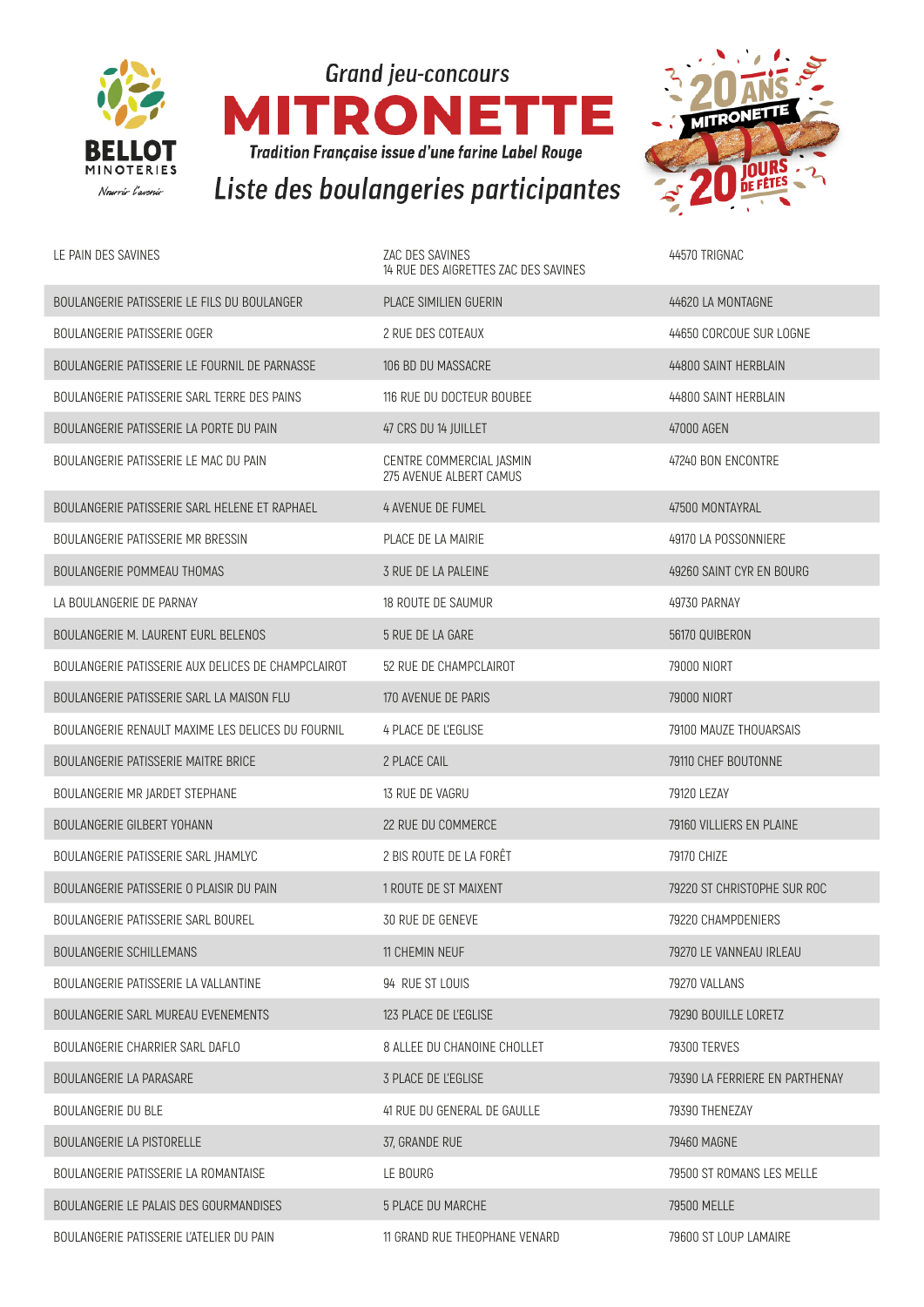





| LE PAIN DES SAVINES                                | ZAC DES SAVINES<br>14 RUE DES AIGRETTES ZAC DES SAVINES | 44570 TRIGNAC                  |
|----------------------------------------------------|---------------------------------------------------------|--------------------------------|
| BOULANGERIE PATISSERIE LE FILS DU BOULANGER        | PLACE SIMILIEN GUERIN                                   | 44620 LA MONTAGNE              |
| <b>BOULANGERIE PATISSERIE OGER</b>                 | 2 RUE DES COTEAUX                                       | 44650 CORCOUE SUR LOGNE        |
| BOULANGERIE PATISSERIE LE FOURNIL DE PARNASSE      | 106 BD DU MASSACRE                                      | 44800 SAINT HERBLAIN           |
| BOULANGERIE PATISSERIE SARL TERRE DES PAINS        | 116 RUE DU DOCTEUR BOUBEE                               | 44800 SAINT HERBLAIN           |
| BOULANGERIE PATISSERIE LA PORTE DU PAIN            | 47 CRS DU 14 JUILLET                                    | 47000 AGEN                     |
| BOULANGERIE PATISSERIE LE MAC DU PAIN              | CENTRE COMMERCIAL JASMIN<br>275 AVENUE ALBERT CAMUS     | 47240 BON ENCONTRE             |
| BOULANGERIE PATISSERIE SARL HELENE ET RAPHAEL      | 4 AVENUE DE FUMEL                                       | 47500 MONTAYRAL                |
| BOULANGERIE PATISSERIE MR BRESSIN                  | PLACE DE LA MAIRIE                                      | 49170 LA POSSONNIERE           |
| <b>BOULANGERIE POMMEAU THOMAS</b>                  | 3 RUE DE LA PALEINE                                     | 49260 SAINT CYR EN BOURG       |
| LA BOULANGERIE DE PARNAY                           | 18 ROUTE DE SAUMUR                                      | 49730 PARNAY                   |
| BOULANGERIE M. LAURENT EURL BELENOS                | 5 RUE DE LA GARE                                        | 56170 QUIBERON                 |
| BOULANGERIE PATISSERIE AUX DELICES DE CHAMPCLAIROT | 52 RUE DE CHAMPCLAIROT                                  | 79000 NIORT                    |
| BOULANGERIE PATISSERIE SARL LA MAISON FLU          | 170 AVENUE DE PARIS                                     | <b>79000 NIORT</b>             |
| BOULANGERIE RENAULT MAXIME LES DELICES DU FOURNIL  | 4 PLACE DE L'EGLISE                                     | 79100 MAUZE THOUARSAIS         |
| BOULANGERIE PATISSERIE MAITRE BRICE                | 2 PLACE CAIL                                            | 79110 CHEF BOUTONNE            |
| BOULANGERIE MR JARDET STEPHANE                     | 13 RUE DE VAGRU                                         | 79120 LEZAY                    |
| <b>BOULANGERIE GILBERT YOHANN</b>                  | 22 RUE DU COMMERCE                                      | 79160 VILLIERS EN PLAINE       |
| BOULANGERIE PATISSERIE SARL JHAMLYC                | 2 BIS ROUTE DE LA FORÊT                                 | 79170 CHIZE                    |
| BOULANGERIE PATISSERIE O PLAISIR DU PAIN           | 1 ROUTE DE ST MAIXENT                                   | 79220 ST CHRISTOPHE SUR ROC    |
| BOULANGERIE PATISSERIE SARL BOUREL                 | 30 RUE DE GENEVE                                        | 79220 CHAMPDENIERS             |
| <b>BOULANGERIE SCHILLEMANS</b>                     | <b>11 CHEMIN NEUF</b>                                   | 79270 LE VANNEAU IRLEAU        |
| BOULANGERIE PATISSERIE LA VALLANTINE               | 94 RUE ST LOUIS                                         | 79270 VALLANS                  |
| BOULANGERIE SARL MUREAU EVENEMENTS                 | 123 PLACE DE L'EGLISE                                   | 79290 BOUILLE LORETZ           |
| BOULANGERIE CHARRIER SARL DAFLO                    | 8 ALLEE DU CHANOINE CHOLLET                             | <b>79300 TERVES</b>            |
| <b>BOULANGERIE LA PARASARE</b>                     | 3 PLACE DE L'EGLISE                                     | 79390 LA FERRIERE EN PARTHENAY |
| BOULANGERIE DU BLE                                 | 41 RUE DU GENERAL DE GAULLE                             | 79390 THENEZAY                 |
| <b>BOULANGERIE LA PISTORELLE</b>                   | 37, GRANDE RUE                                          | 79460 MAGNE                    |
| BOULANGERIE PATISSERIE LA ROMANTAISE               | LE BOURG                                                | 79500 ST ROMANS LES MELLE      |
| BOULANGERIE LE PALAIS DES GOURMANDISES             | 5 PLACE DU MARCHE                                       | 79500 MELLE                    |
| BOULANGERIE PATISSERIE L'ATELIER DU PAIN           | 11 GRAND RUE THEOPHANE VENARD                           | 79600 ST LOUP LAMAIRE          |